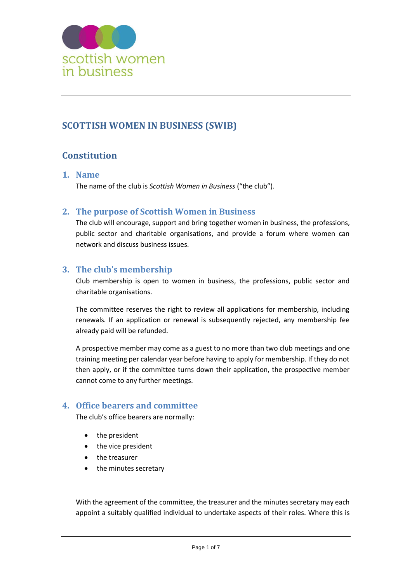

# **SCOTTISH WOMEN IN BUSINESS (SWIB)**

# **Constitution**

# **1. Name**

The name of the club is *Scottish Women in Business* ("the club").

# **2. The purpose of Scottish Women in Business**

The club will encourage, support and bring together women in business, the professions, public sector and charitable organisations, and provide a forum where women can network and discuss business issues.

# **3. The club's membership**

Club membership is open to women in business, the professions, public sector and charitable organisations.

The committee reserves the right to review all applications for membership, including renewals. If an application or renewal is subsequently rejected, any membership fee already paid will be refunded.

A prospective member may come as a guest to no more than two club meetings and one training meeting per calendar year before having to apply for membership. If they do not then apply, or if the committee turns down their application, the prospective member cannot come to any further meetings.

# **4. Office bearers and committee**

The club's office bearers are normally:

- the president
- the vice president
- the treasurer
- the minutes secretary

With the agreement of the committee, the treasurer and the minutes secretary may each appoint a suitably qualified individual to undertake aspects of their roles. Where this is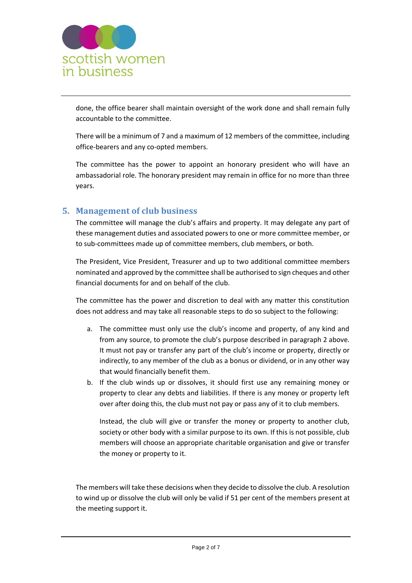

done, the office bearer shall maintain oversight of the work done and shall remain fully accountable to the committee.

There will be a minimum of 7 and a maximum of 12 members of the committee, including office-bearers and any co-opted members.

The committee has the power to appoint an honorary president who will have an ambassadorial role. The honorary president may remain in office for no more than three years.

# **5. Management of club business**

The committee will manage the club's affairs and property. It may delegate any part of these management duties and associated powers to one or more committee member, or to sub-committees made up of committee members, club members, or both.

The President, Vice President, Treasurer and up to two additional committee members nominated and approved by the committee shall be authorised to sign cheques and other financial documents for and on behalf of the club.

The committee has the power and discretion to deal with any matter this constitution does not address and may take all reasonable steps to do so subject to the following:

- a. The committee must only use the club's income and property, of any kind and from any source, to promote the club's purpose described in paragraph 2 above. It must not pay or transfer any part of the club's income or property, directly or indirectly, to any member of the club as a bonus or dividend, or in any other way that would financially benefit them.
- b. If the club winds up or dissolves, it should first use any remaining money or property to clear any debts and liabilities. If there is any money or property left over after doing this, the club must not pay or pass any of it to club members.

Instead, the club will give or transfer the money or property to another club, society or other body with a similar purpose to its own. If this is not possible, club members will choose an appropriate charitable organisation and give or transfer the money or property to it.

The members will take these decisions when they decide to dissolve the club. A resolution to wind up or dissolve the club will only be valid if 51 per cent of the members present at the meeting support it.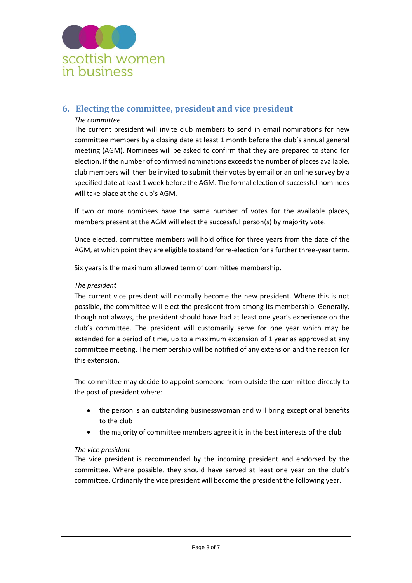

# **6. Electing the committee, president and vice president**

#### *The committee*

The current president will invite club members to send in email nominations for new committee members by a closing date at least 1 month before the club's annual general meeting (AGM). Nominees will be asked to confirm that they are prepared to stand for election. If the number of confirmed nominations exceeds the number of places available, club members will then be invited to submit their votes by email or an online survey by a specified date at least 1 week before the AGM. The formal election of successful nominees will take place at the club's AGM.

If two or more nominees have the same number of votes for the available places, members present at the AGM will elect the successful person(s) by majority vote.

Once elected, committee members will hold office for three years from the date of the AGM, at which point they are eligible to stand for re-election for a further three-year term.

Six years is the maximum allowed term of committee membership.

#### *The president*

The current vice president will normally become the new president. Where this is not possible, the committee will elect the president from among its membership. Generally, though not always, the president should have had at least one year's experience on the club's committee. The president will customarily serve for one year which may be extended for a period of time, up to a maximum extension of 1 year as approved at any committee meeting. The membership will be notified of any extension and the reason for this extension.

The committee may decide to appoint someone from outside the committee directly to the post of president where:

- the person is an outstanding businesswoman and will bring exceptional benefits to the club
- the majority of committee members agree it is in the best interests of the club

#### *The vice president*

The vice president is recommended by the incoming president and endorsed by the committee. Where possible, they should have served at least one year on the club's committee. Ordinarily the vice president will become the president the following year.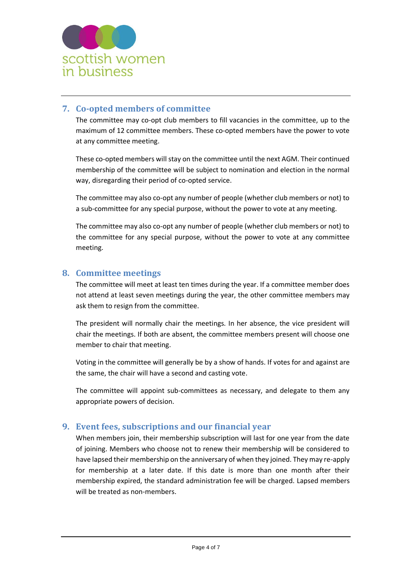

# **7. Co-opted members of committee**

The committee may co-opt club members to fill vacancies in the committee, up to the maximum of 12 committee members. These co-opted members have the power to vote at any committee meeting.

These co-opted members will stay on the committee until the next AGM. Their continued membership of the committee will be subject to nomination and election in the normal way, disregarding their period of co-opted service.

The committee may also co-opt any number of people (whether club members or not) to a sub-committee for any special purpose, without the power to vote at any meeting.

The committee may also co-opt any number of people (whether club members or not) to the committee for any special purpose, without the power to vote at any committee meeting.

### **8. Committee meetings**

The committee will meet at least ten times during the year. If a committee member does not attend at least seven meetings during the year, the other committee members may ask them to resign from the committee.

The president will normally chair the meetings. In her absence, the vice president will chair the meetings. If both are absent, the committee members present will choose one member to chair that meeting.

Voting in the committee will generally be by a show of hands. If votes for and against are the same, the chair will have a second and casting vote.

The committee will appoint sub-committees as necessary, and delegate to them any appropriate powers of decision.

### **9. Event fees, subscriptions and our financial year**

When members join, their membership subscription will last for one year from the date of joining. Members who choose not to renew their membership will be considered to have lapsed their membership on the anniversary of when they joined. They may re-apply for membership at a later date. If this date is more than one month after their membership expired, the standard administration fee will be charged. Lapsed members will be treated as non-members.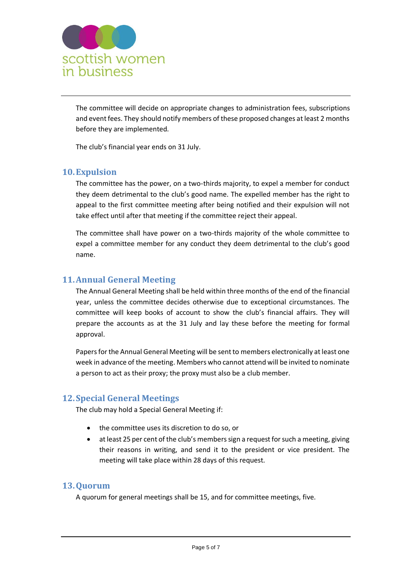

The committee will decide on appropriate changes to administration fees, subscriptions and event fees. They should notify members of these proposed changes at least 2 months before they are implemented.

The club's financial year ends on 31 July.

### **10.Expulsion**

The committee has the power, on a two-thirds majority, to expel a member for conduct they deem detrimental to the club's good name. The expelled member has the right to appeal to the first committee meeting after being notified and their expulsion will not take effect until after that meeting if the committee reject their appeal.

The committee shall have power on a two-thirds majority of the whole committee to expel a committee member for any conduct they deem detrimental to the club's good name.

### **11.Annual General Meeting**

The Annual General Meeting shall be held within three months of the end of the financial year, unless the committee decides otherwise due to exceptional circumstances. The committee will keep books of account to show the club's financial affairs. They will prepare the accounts as at the 31 July and lay these before the meeting for formal approval.

Papers for the Annual General Meeting will be sent to members electronically at least one week in advance of the meeting. Members who cannot attend will be invited to nominate a person to act as their proxy; the proxy must also be a club member.

### **12.Special General Meetings**

The club may hold a Special General Meeting if:

- the committee uses its discretion to do so, or
- at least 25 per cent of the club's members sign a request for such a meeting, giving their reasons in writing, and send it to the president or vice president. The meeting will take place within 28 days of this request.

### **13.Quorum**

A quorum for general meetings shall be 15, and for committee meetings, five.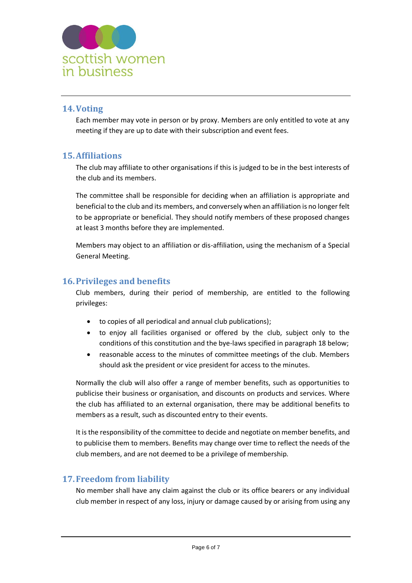

# **14.Voting**

Each member may vote in person or by proxy. Members are only entitled to vote at any meeting if they are up to date with their subscription and event fees.

### **15.Affiliations**

The club may affiliate to other organisations if this is judged to be in the best interests of the club and its members.

The committee shall be responsible for deciding when an affiliation is appropriate and beneficial to the club and its members, and conversely when an affiliation is no longer felt to be appropriate or beneficial. They should notify members of these proposed changes at least 3 months before they are implemented.

Members may object to an affiliation or dis-affiliation, using the mechanism of a Special General Meeting.

# **16.Privileges and benefits**

Club members, during their period of membership, are entitled to the following privileges:

- to copies of all periodical and annual club publications);
- to enjoy all facilities organised or offered by the club, subject only to the conditions of this constitution and the bye-laws specified in paragraph 18 below;
- reasonable access to the minutes of committee meetings of the club. Members should ask the president or vice president for access to the minutes.

Normally the club will also offer a range of member benefits, such as opportunities to publicise their business or organisation, and discounts on products and services. Where the club has affiliated to an external organisation, there may be additional benefits to members as a result, such as discounted entry to their events.

It is the responsibility of the committee to decide and negotiate on member benefits, and to publicise them to members. Benefits may change over time to reflect the needs of the club members, and are not deemed to be a privilege of membership.

# **17.Freedom from liability**

No member shall have any claim against the club or its office bearers or any individual club member in respect of any loss, injury or damage caused by or arising from using any